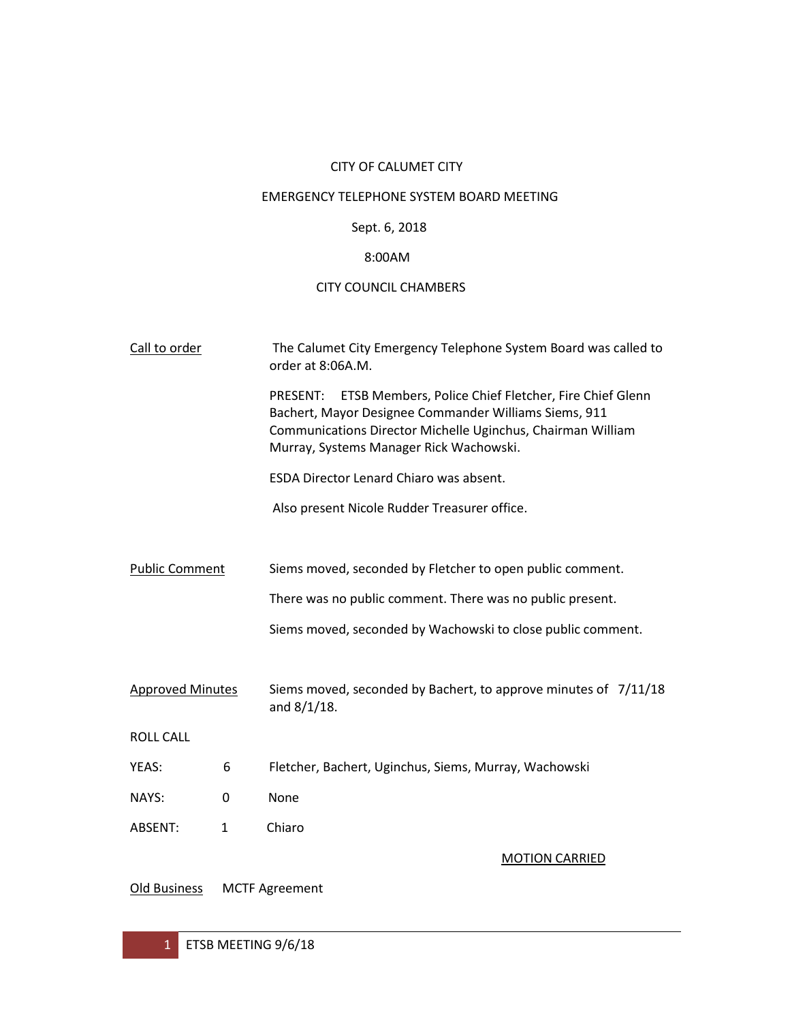# CITY OF CALUMET CITY

## EMERGENCY TELEPHONE SYSTEM BOARD MEETING

# Sept. 6, 2018

## 8:00AM

## CITY COUNCIL CHAMBERS

| Call to order           |   | The Calumet City Emergency Telephone System Board was called to<br>order at 8:06A.M.                                                                                                                                                        |
|-------------------------|---|---------------------------------------------------------------------------------------------------------------------------------------------------------------------------------------------------------------------------------------------|
|                         |   | <b>PRESENT:</b><br>ETSB Members, Police Chief Fletcher, Fire Chief Glenn<br>Bachert, Mayor Designee Commander Williams Siems, 911<br>Communications Director Michelle Uginchus, Chairman William<br>Murray, Systems Manager Rick Wachowski. |
|                         |   | ESDA Director Lenard Chiaro was absent.                                                                                                                                                                                                     |
|                         |   | Also present Nicole Rudder Treasurer office.                                                                                                                                                                                                |
|                         |   |                                                                                                                                                                                                                                             |
| <b>Public Comment</b>   |   | Siems moved, seconded by Fletcher to open public comment.                                                                                                                                                                                   |
|                         |   | There was no public comment. There was no public present.                                                                                                                                                                                   |
|                         |   | Siems moved, seconded by Wachowski to close public comment.                                                                                                                                                                                 |
|                         |   |                                                                                                                                                                                                                                             |
| <b>Approved Minutes</b> |   | Siems moved, seconded by Bachert, to approve minutes of 7/11/18<br>and $8/1/18$ .                                                                                                                                                           |
| <b>ROLL CALL</b>        |   |                                                                                                                                                                                                                                             |
| YEAS:                   | 6 | Fletcher, Bachert, Uginchus, Siems, Murray, Wachowski                                                                                                                                                                                       |
| NAYS:                   | 0 | None                                                                                                                                                                                                                                        |
| ABSENT:                 | 1 | Chiaro                                                                                                                                                                                                                                      |
|                         |   | <b>MOTION CARRIED</b>                                                                                                                                                                                                                       |

Old Business MCTF Agreement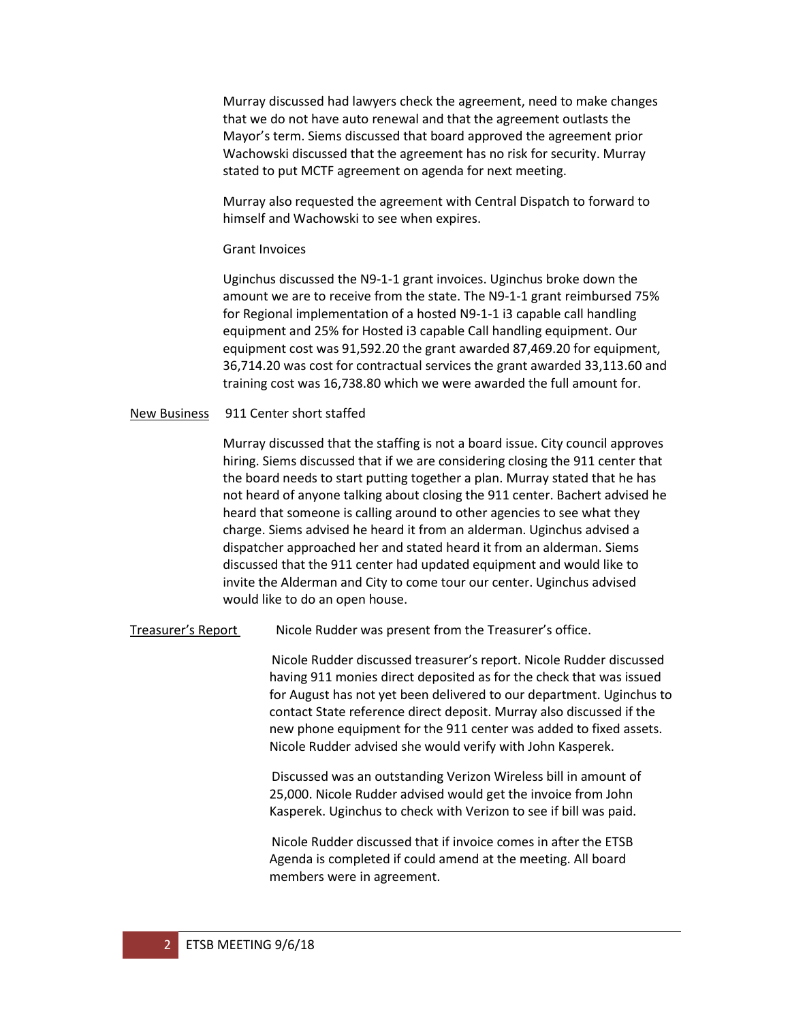Murray discussed had lawyers check the agreement, need to make changes that we do not have auto renewal and that the agreement outlasts the Mayor's term. Siems discussed that board approved the agreement prior Wachowski discussed that the agreement has no risk for security. Murray stated to put MCTF agreement on agenda for next meeting.

Murray also requested the agreement with Central Dispatch to forward to himself and Wachowski to see when expires.

#### Grant Invoices

Uginchus discussed the N9-1-1 grant invoices. Uginchus broke down the amount we are to receive from the state. The N9-1-1 grant reimbursed 75% for Regional implementation of a hosted N9-1-1 i3 capable call handling equipment and 25% for Hosted i3 capable Call handling equipment. Our equipment cost was 91,592.20 the grant awarded 87,469.20 for equipment, 36,714.20 was cost for contractual services the grant awarded 33,113.60 and training cost was 16,738.80 which we were awarded the full amount for.

#### New Business 911 Center short staffed

Murray discussed that the staffing is not a board issue. City council approves hiring. Siems discussed that if we are considering closing the 911 center that the board needs to start putting together a plan. Murray stated that he has not heard of anyone talking about closing the 911 center. Bachert advised he heard that someone is calling around to other agencies to see what they charge. Siems advised he heard it from an alderman. Uginchus advised a dispatcher approached her and stated heard it from an alderman. Siems discussed that the 911 center had updated equipment and would like to invite the Alderman and City to come tour our center. Uginchus advised would like to do an open house.

#### Treasurer's Report Nicole Rudder was present from the Treasurer's office.

Nicole Rudder discussed treasurer's report. Nicole Rudder discussed having 911 monies direct deposited as for the check that was issued for August has not yet been delivered to our department. Uginchus to contact State reference direct deposit. Murray also discussed if the new phone equipment for the 911 center was added to fixed assets. Nicole Rudder advised she would verify with John Kasperek.

Discussed was an outstanding Verizon Wireless bill in amount of 25,000. Nicole Rudder advised would get the invoice from John Kasperek. Uginchus to check with Verizon to see if bill was paid.

Nicole Rudder discussed that if invoice comes in after the ETSB Agenda is completed if could amend at the meeting. All board members were in agreement.